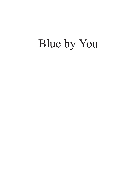## Blue by You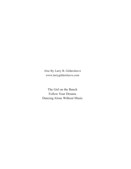Also By Larry B. Gildersleeve www.larrygildersleeve.com

The Girl on the Bench Follow Your Dreams Dancing Alone Without Music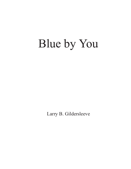## Blue by You

Larry B. Gildersleeve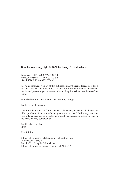## Blue by You. Copyright © 2022 by Larry B. Gildersleeve

Paperback ISBN: 978-0-9973700-4-1 Hardcover ISBN: 978-0-9973700-5-8 eBook ISBN: 978-0-9973700-6-5

All rights reserved. No part of this publication may be reproduced, stored in a retrieval system, or transmitted in any form by any means, electronic, mechanical, recording or otherwise, without the prior written permission of the author. **Blue by You. Copyright** © 2022 by Larry B. Gildersleeve<br>Paperback ISBN: 978-0-9973700-4-1<br>Hardcover ISBN: 978-0-9973700-6-5<br>eBook ISBN: 978-0-9973700-6-5<br>All rights reserved. No part of this publication may be reproduced, **Blue by You. Copyright** © 2022 **by Larry B. Gildersleeve**<br>Paperback ISBN: 978-0-9973700-4-1<br>Hardcover ISBN: 978-0-9973700-5-8<br>eBook ISBN: 978-0-9973700-6-5<br>All rights reserved. No part of this publication may be reproduce

Published by BookLocker.com, Inc., Trenton, Georgia

Printed on acid-free paper.

resemblance to actual persons, living or dead, businesses, companies, events or locales is entirely coincidental.

BookLocker.com, Inc.<br>2022 2022

First Edition

Library of Congress Cataloguing in Publication Data Gildersleeve, Larry B. Blue by You Larry B. Gildersleeve Library of Congress Control Number: 2021924789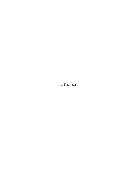to Kathleen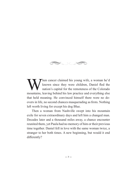

hen cancer claimed his young wife, a woman he'd According to the control of the control of the control of the control of the control of the control of the colorado leaving behind his law practice and everything else<br>earling. He convinced himself there were no donation's capital for the remoteness of the Colorado mountains, leaving behind his law practice and everything else that held meaning. He convinced himself there were no doovers in life, no second chances masquerading as firsts. Nothing left worth living for except his dog Blue.

Then a woman from Nashville swept into his mountain exile for seven extraordinary days and left him a changed man. Decades later and a thousand miles away, a chance encounter reunited them, yet Paula had no memory of him or their previous time together. Daniel fell in love with the same woman twice, a stranger to her both times. A new beginning, but would it end differently?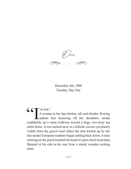

December 4th, 1998 Tuesday, Day One

'm lost." A woman in her late-thirties, tall and slender, flowing auburn hair bouncing o൵ her shoulders, strode confidently up a stone walkway toward a large, two-story log cabin home. It was tucked away at a hillside crevice yet plainly visible from the gravel road where the dust kicked up by her late-model European roadster began settling back down. A man relaxing on the porch touched the head of a pure-bred Australian Shepard at his side as he rose from a sturdy wooden rocking chair.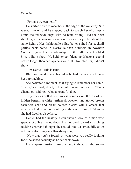"Perhaps we can help."

He started down to meet her at the edge of the walkway. She waved him off and he stepped back to watch her effortlessly climb the six wide steps with no hand railing. Had she been shoeless, as he was in heavy wool socks, they'd be about the same height. Her fashionable stilts, better suited for cocktail parties back home in Nashville than outdoors in nowhere Colorado, gave her the advantage. If the difference troubled him, it didn't show. He held her confident handshake a second or two longer than perhaps he should. If it troubled her, it didn't show.

"I'm Daniel. This is Blue."

Blue continued to wag his tail as he had the moment he saw her approaching.

She hesitated a moment, as if trying to remember her name. "Paula," she said, slowly. Then with greater assurance, "Paula Chandler," adding, "what a beautiful dog."

Tiny freckles dotted her flawless complexion, the rest of her hidden beneath a white turtleneck sweater, unbuttoned brown cashmere coat and cream-colored slacks with a crease that mostly held despite hours sitting in the car. In time, he'd know she had freckles elsewhere.

Daniel had the healthy, clean-shaven look of a man who spent a lot of his time outdoors. He motioned toward a matching rocking chair and thought she settled into it as gracefully as an actress performing on a Broadway stage.

"Now that you've found us, what were you really looking for?" he asked casually as he sat back down.

His surprise visitor looked straight ahead at the snow-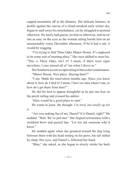capped mountains off in the distance. Her delicate features, in profile against the canvas of a cloud-streaked early winter sky, began to melt away his nonchalance, yet he struggled to pretend otherwise. He rarely had guests, invited or otherwise, and never one as easy on the eyes as the woman sitting beside him on an unseasonably warm December afternoon. If he'd had a tail, it would be wagging.

"I'm trying to find Three Oaks Manor House. It's supposed to be some sort of meeting place." Her eyes shifted to meet his. "This is Three Oaks, isn't it? I mean, if there were signs anywhere, I sure missed all of 'em when I drove in."

Her Southern accent as captivating to him as her countenance. "Manor House. Nice place. Staying there?"

"I am. Made the reservation months ago. Since you know about it, how do I find it? I mean, I have no idea where I am, so how do I get there from here?"

He did his best to appear thoughtful as he put one foot on the porch railing and crossed his ankles.

"Here would be a good place to start."

He wants to joust, she thought. I'm tired, but totally up for it.

"Are you making fun of me, Daniel? It is Daniel, right?" He nodded. "Wait. We've just met." She feigned seriousness with a wrinkled brow and pursed lips. "Let me ask someone who'd know."

He nodded again when she gestured toward the dog lying between them with his head resting on his paws, his tail stilled by sleep. Her eyes, and Daniel's, followed her hand.

"Blue," she asked, as she began to slowly stroke his back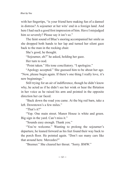with her fingertips, "is your friend here making fun of a damsel in distress? A sojourner at her wits' end in a foreign land. And here I had such a good first impression of him. Have I misjudged him so severely? Please say it isn't so."

The faint sound of Blue's snoring accompanied her smile as she dropped both hands to her lap and turned her silent gaze back to the man in the rocking chair.

She's good, he thought.

"Sojourner, eh?" he asked, holding her gaze.

Her turn to nod.

"Point taken." His tone conciliatory. "I apologize."

"Apology accepted." She guessed him to be about her age. "Now, please begin again. If there's one thing I really love, it's new beginnings."

Still trying for an air of indifference, though he didn't know why, he acted as if he didn't see her wink or hear the flirtation in her voice as he raised his arm and pointed in the opposite direction her car faced.

"Back down the road you came. At the big red barn, take a left. Downtown's a few miles."

"That's it?"

"Yep. One main street. Manor House is white and green. Big sign in the yard. Can't miss it."

"Sounds easy enough. Thank you."

"You're welcome." Wanting to prolong the sojourner's departure, he leaned forward as his feet found their way back to the porch floor. He pointed again. "Don't see many cars like that around here. Mercedes?"

"Beemer." She cleared her throat. "Sorry. BMW."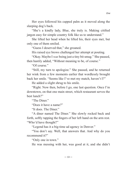Her eyes followed his cupped palm as it moved along the sleeping dog's back.

"She's a kindly lady, Blue, she truly is. Making citified jargon easy for simple country folk like us to understand."

She lifted her head when he lifted his, their eyes met, but only one of them smiled.

"Guess I deserved that," she groaned.

His raised eye brows challenged her attempt at pouting.

"Okay. Maybe I was being just a tiny bit smug." She paused, then hastily added, "Without meaning to be, of course."

"Of course."

"Still, my turn to apologize." She paused, and he returned her wink from a few moments earlier that wordlessly brought back her smile. "Seems like I've met my match, haven't I?"

He added a slight shrug to his smile.

"Right. Now then, before I go, one last question. Once I'm downtown, on that one main street, which restaurant serves the best lunch?"

"The Diner."

"Does it have a name?"

"It does. The Diner."

"A diner named The Diner." She slowly rocked back and forth, softly tapping the fingers of her left hand on the arm rest. "Who'd have thought?"

"Legend has it a big-time ad agency in Denver."

"You don't say. Well, that answers that. And why do you recommend it?"

"Only one in town."

He was messing with her, was good at it, and she didn't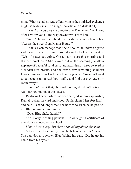mind. What he had no way of knowing is their spirited exchange might someday inspire a magazine article in a distant city.

"I see. Can you give me directions to The Diner? You know, after I've arrived all the way downtown. From here."

"Sure." He was delighted her questions were delaying her. "Across the street from Manor House."

"I think I can manage that." She hooked an index finger to slide a tan leather driving glove down to look at her watch. "Well, I better get going. Got an early start this morning and skipped breakfast." She looked out at the seemingly endless expanse of peaceful rural surroundings. Nearby trees swayed in a sudden stiff breeze, and she saw a few remaining stubborn leaves twist and swirl as they fell to the ground. "Wouldn't want to get caught up in rush hour traffic and find out they gave my room away."

"Wouldn't want that," he said, hoping she didn't notice he was staring, but not at the leaves.

Realizing her departure had been delayed as long as possible, Daniel rocked forward and stood. Paula planted her feet firmly and held his hand longer than she needed to when he helped her up. Blue scrambled to join them.

"Does Blue shake hands?"

"No. Sorry. Nothing personal. He only got a certificate of attendance at obedience school."

I know I can't stay, but there's something about this man.

"Good one. I can see you're both handsome *and* clever." She bent down to scratch Blue behind his ears. "Did he get his name from his eyes?"

"He did."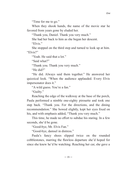"Time for me to go."

When they shook hands, the name of the movie star he favored from years gone by eluded her.

"Thank you, Daniel. Thank you very much."

She had her back to him as she began her descent.

"Elvis."

She stopped on the third step and turned to look up at him. "Elvis?"

"Yeah. He said that a lot."

"Said what?"

"Thank you. Thank you very much."

"He did?"

"He did. Always said them together." He answered her quizzical look. "When the audience applauded. Every Elvis impersonator does it."

"A wild guess. You're a fan."

"Guilty."

Reaching the edge of the walkway at the base of the porch, Paula performed a nimble one-eighty pirouette and took one step back. "Thank you. For the directions, and the dining recommendation." She bowed slightly, kept her eyes fixed on his, and with emphasis added, "Thank you very much." "A wild guess. You're a ran."<br>
"Guilty."<br>
Reaching the edge of the walkway at the base of the porch,<br>
Paula performed a nimble one-eighty pirouette and took one<br>
step back. "Thank you. For the directions, and the dining<br>
r

This time, he made no effort to subdue his staring. In a few seconds, she'd be gone.

"Good-bye, Mr. Elvis Fan."

"Good-bye, damsel in distress."

Paula's fancy shoes slipped twice on the rounded since she knew he'd be watching. Reaching her car, she gave a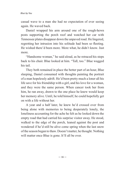casual wave to a man she had no expectation of ever seeing again. He waved back.

Daniel wrapped his arm around one of the rough-hewn posts supporting the porch roof and watched her car with Tennessee plates disappear down the unpaved road. He lingered, regretting her intrusion into his solitude had been so fleeting. He wished there'd been more. More what, he didn't know. Just more.

"Handsome woman," he said aloud, as he retraced his steps back to his chair. Blue looked at him. "Tall, too." Blue wagged his tail.

They both remained in place the better part of an hour, Blue sleeping, Daniel consumed with thoughts painting the portrait of a man hopelessly adrift. He'd been pretty much a loner all his life save for his friendship with a girl, and his love for a woman, and they were the same person. When cancer took her from him, he ran away, drawn to the one place he knew would keep her memory alive. Until, he told himself, he could hopefully get on with a life without her.

A year and a half later, he knew he'd crossed over from being alone with memories to being desperately lonely, the loneliness accounting for the ache he felt as he looked down the empty road that had carried his surprise visitor away. He stood, walked to the edge of the porch, leaned against the post and wondered if he'd still be alive come spring when the last snow of the season began to thaw. Doesn't matter, he thought. Nothing will matter once Blue is gone. It'll all be over.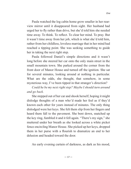Paula watched the log cabin home grow smaller in her rearview mirror until it disappeared from sight. Her husband had urged her to fly rather than drive, but she'd told him she needed time away. To think. To reflect. To clear her mind. To pray. But it wasn't time away from her job, which is what she'd told him, rather from her childless, loveless marriage that in her mind had reached a tipping point. She was seeking something to guide her in taking the next right step.

Paula followed Daniel's simple directions and it wasn't long before she steered her car onto the only main street in the small mountain town. She parked around the corner from the front door of Manor House and turned off the ignition. She sat for several minutes, looking around at nothing in particular. What are the odds, she thought, that somehow, in some mysterious way, I've been tipped in that stranger's direction?

Could he be my next right step? Maybe I should turn around and go back.

She stepped out of her car and shook herself, hoping it might dislodge thoughts of a man who'd made her feel as if they'd known each other for years instead of minutes. The only thing dislodged were her keys. She felt them slip from her fingers and heard them fall to the pavement. She bent down, snatched up the key ring, fumbled it and it fell again. "There's my sign," she muttered under her breath as she looked across a white picket fence encircling Manor House. She picked up her keys, dropped what are the odds, she mought, that somehow, in some<br>mysterious way, I've been tipped in that stranger's direction?<br>Could he be my next right step? Maybe I should turn around<br>and go back.<br>She stepped out of her car and sh delusion and headed toward the door.

An early evening curtain of darkness, as dark as his mood,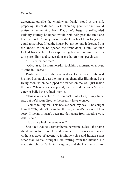descended outside the window as Daniel stood at the sink preparing Blue's dinner in a kitchen any gourmet chef would praise. After arriving from D.C., he'd begun a self-guided culinary journey he hoped would both help pass the time and heal the hurt. Country music, a staple in his life as long as he could remember, filled the house, but not so loud it drowned out the knock. When he opened the front door, a familiar face looked back at him. Her captivating beauty, undiminished by dim porch light and screen-door mesh, left him speechless.

"Hi. Remember me?"

"Of course," he stammered. It took him a moment to recover. "Come in. Please."

Paula pulled open the screen door. Her arrival brightened his mood as quickly as the imposing chandelier illuminated the living room when he flipped the switch on the wall just inside the door. When her eyes adjusted, she realized the home's rustic exterior belied the refined interior.

"This is unexpected." He couldn't think of anything else to say, but he'd soon discover he needn't have worried.

"You're telling me! This has *not* been my day." She caught herself. "Oh, I didn't mean that the way it must've sounded. I'm sorry. I meant it hasn't been my day apart from meeting you. And Blue."

"Paula, we feel the same way."

She liked that he'd remembered her name, at least the name she'd given him, and how it sounded in his resonant voice without a trace of accent. A feminine voice and human scent other than Daniel brought Blue trotting from the kitchen. He made straight for Paula, tail wagging, and she knelt to pet him.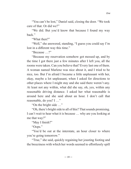"You can't be lost," Daniel said, closing the door. "We took care of that. Or did we?"

"We did. But you'd know that because I found my way back."

"What then?"

"Well," she answered, standing, "I guess you could say I'm lost in a different way this time."

"Because …?"

"Because my reservation somehow got messed up, and by the time I got there just a few minutes after I left you, all the rooms were taken. Can you believe that? Every last one of them. A woman named Marlene was nice about it, and I tried to be nice, too. But I'm afraid I became a little unpleasant with her, okay, maybe a lot unpleasant, when I asked for directions to other places where I might stay and she said there weren't any. At least not any within, what did she say, oh, yes, within any reasonable driving distance. I asked her what reasonable is around here and she said about an hour. I don't call that reasonable, do you? I …"

"On the bright side …"

"Oh, there's bright side to all of this? That sounds promising. I can't wait to hear what it is because … why are you looking at me that way?"

"May I finish?"

"Oops."

"You'd be out at the interstate, an hour closer to where you're going tomorrow."

"True," she said, quickly regaining her jousting footing and the breeziness with which her words seemed to effortlessly spill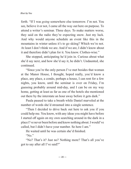forth. "If I was going somewhere else tomorrow. I'm not. You see, believe it or not, I came all the way out here on purpose. To attend a writer's seminar. Three days. To make matters worse, they said on the radio they're expecting snow. Just my luck. And why would anyone schedule an event like this in the mountains in winter unless it's to go skiing? Which we're not. At least I don't think we are. And if we are, I didn't know about it and therefore didn't plan for it. You know. Clothes-wise."

She stopped, anticipating he'd join in. Curious about what she'd say next, and how she'd say it, he didn't. Undaunted, she continued.

"Since you're the only person I've met besides that woman at the Manor House, I thought, hoped really, you'd know a place, any place, a condo, perhaps a house, I can rent for a few nights, you know, until the seminar is over on Friday, I'm guessing probably around mid-day, and I can be on my way home, getting at least as far as one of the hotels she mentioned out there by the interstate an hour away before it gets dark."

Paula paused to take a breath while Daniel marveled at the number of words she'd streamed into a single sentence.

"Then I decided to drive back out here to ask you if you could help me. You know, with any ideas you might have before I started off again on my own searching around in the dark in a place I've never been before and know nothing about. I would've called, but I didn't have your number. So here I am."

He waited until he was certain she'd finished. "No."

"No? That's it? Just no? Nothing more? That's all you've got to say after all I've said?"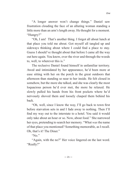"A longer answer won't change things." Daniel saw frustration clouding the face of an alluring woman standing a little more than an arm's length away. He thought for a moment. "Hungry?"

"Oh, I am! That's another thing. I forgot all about lunch at that place you told me about. Got myself all tangled up and one<br>
"A longer answer won't change things." Daniel saw<br>
frustration clouding the face of an alluring woman standing a<br>
little more than an arm's length away. He thought for a moment.<br>
"Hungry?"<br>
"Oh, I am! That's another t Guess I should've thought about that before I came all the way out here again. You know, over the river and through the woods to, well, to wherever this is."

The reclusive Daniel found himself in unfamiliar territory. Awed and intimidated by her appearance, he'd been more at ease sitting with her on the porch in the great outdoors that afternoon than standing so near to her inside. He felt closed in somehow, but the more she talked, and she was clearly the most loquacious person he'd ever met, the more he relaxed. He slowly pulled his hands from his front pockets where he'd nervously shoved them and loosely clasped them behind his back.

"Oh, well, since I know the way, I'll go back to town first before starvation sets in and I fade away to nothing. Then I'll find my way out to the interstate to a hotel. You said it would only take about an hour or so. Now, about food." She narrowed her eyes, pretending to search her memory. "What was the name of that place you mentioned? Something memorable, as I recall. Oh, that's it! The Diner."

"No."

"Again, with the no?" Her voice lingered on the last word. "Really?"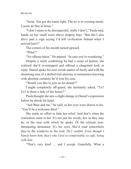"Sorta. You got the name right. The no is to evening meals. Locals do that at home."

"I don't mean to be disrespectful, really I don't," Paula said, hands on her small waist above shapely hips. "But did I also drive past a sign saying I'd left civilization behind when I arrived here?"

The corners of his mouth turned upward.

"What?"

"No offense taken." He paused. "In case you're wondering."

Despite a smile confirming he had a sense of humor, she realized she'd overstepped and offered a chagrined look in reply. Daniel spoke his next words matter-of-factly and with the disarming ease of a skilled trial attorney at summation knowing with absolute certainty he'd won his case.

"Would you like to join us for dinner?"

Caught completely off-guard, she hesitantly asked, "Us? Us? Is there a lady of the house?"

Paula thought she saw a slight change in Daniel's expression before he shook his head.

"Just Blue and me," he said, as her eyes were drawn to his. "You'll be a welcome third."

She made no effort to hide her relief. And that's when the realization came to her. It's not just his words, few as they may be, or the ease with which he spoke. Or his relaxed, nonthreatening demeanor. It's his eyes. She'd read somewhere they're the windows to the soul. He's soulful. Even though I barely know him, that's why I feel so comfortable, so safe, being with him.

"That's very kind … and I accept. Gratefully. What a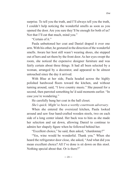surprise. To tell you the truth, and I'll always tell you the truth, I couldn't help noticing the wonderful smells as soon as you opened the door. Are you sure they'll be enough for both of us? Not that I'll eat that much, mind you."

"Certain of it."

Paula unbuttoned her coat and Daniel draped it over one arm. With his other, he gestured in the direction of the wonderful smells. Aware her host still wasn't wearing shoes, she stepped out of hers and set them by the front door. As her eyes swept the room, she noticed the expensive designer furniture and was fairly certain about three things. It had all been selected by a woman, arranged by a decorator, and appeared to be almost untouched since the day it arrived. political that much, mind you."<br>
"Certain of it."<br>
"Certain of it."<br>
"Certain of it."<br>
Paula unbuttoned her coat and Daniel draped it over one<br>
arm. With his other, he gestured in the direction of the wonderful<br>
smells. Aw

With Blue at her side, Paula headed across the highly turning around, said, "I love country music." She paused for a second, then parroted something he'd said moments earlier. "In case you're wondering."

He carefully hung her coat in the hall closet.

She's quick. Might've been a worthy courtroom adversary.

When she entered the oversized kitchen, Paula looked around and saw four hand-crafted wooden stools, two on each side of a long center island. Her back was to him as she made her selection and sat down, allowing Daniel to continue to admire her shapely figure when he followed behind her.

"Excellent choice," he said, then asked, "chardonnay?"

"Yes, wine would be wonderful. Thank you." When she heard the refrigerator door close, she asked, "And what did you mean excellent choice? All I've done is sit down on this stool. Nothing special about that. Or is there?"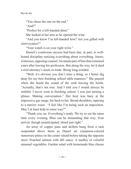"You chose the one on the end."

"And?"

"Perfect for a left-handed diner."

She looked at her arm as he opened the wine.

"And you know I'm left-handed how? Are you gifted with clairvoyance?"

"Your watch is on your right wrist."

Daniel's courtroom success had been due, in part, to wellhoned discipline noticing everything about everything. Jurors, witnesses, opposing counsel. An innate part of him that remained years after leaving his profession. But along the way, he'd shed a trial attorney's stock-in-trade. Being long-winded.

"Well, it's obvious you don't miss a thing, so I better dig deep for my best finishing school table manners." She paused when she heard the sound of the cork leaving the bottle. "Actually, that's not true. And I told you I would always be truthful. I never went to finishing school. I was just turning a phrase. Making conversation." Her host was busy at the impressive gas range, his back to her. Broad shoulders, tapering to a narrow waist. "I feel like I'm being such an imposition. May I at least help in some way?"

"Thank you, no. Everything's ready. We try to eat the same time every evening. Blue can be demanding that way. Your arrival, though unanticipated, timed just right."

An array of copper pans and skillets hung from a rack suspended above them as Daniel set cinnamon-colored stoneware plates on the center island before taking the opposite stool. Poached salmon with dill sauce. A medley of colorful steamed vegetables. Garden salad with homemade blue cheese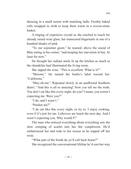dressing in a small tureen with matching ladle. Freshly baked rolls wrapped in cloth to keep them warm in a woven-straw basket.

A ringing of expensive crystal as she reached to touch his already raised wine glass, her manicured fingernails in one of a hundred shades of pink.

"To our sojourner guest," he toasted, above the sound of Blue eating in his corner, "and keeping her starvation at bay. At least for now."

He thought her radiant smile lit up the kitchen as much as the chandelier had illuminated the living room.

She sipped the wine. "This is excellent. What is it?"

"Meiomi." He turned the bottle's label toward her. "California."

"May-oh-me." Repeated slowly in an unaffected Southern drawl. "And this is all so amazing! Now you tell me the truth. You don't eat like this every night, do you? I mean, you weren't expecting me. Were you?"

"I do, and I wasn't."

"Pardon me?"

"I do eat like this every night, or try to. I enjoy cooking, even if it's just for me. Leftovers are lunch the next day. And I wasn't expecting you. Why would I?"

The man who noticed everything about everything saw the slow creeping of scarlet into her fair complexion. He'd embarrassed her and rode to her rescue as he topped o൵ her wine.

"What part of the South do ya'll call back home?"

She recognized the conversational lifeline he'd cast her way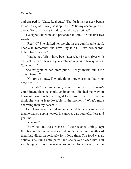and grasped it. "Cute. Real cute." The flush on her neck began to fade away as quickly as it appeared. "Did my accent give me away? Well, of course it did. When did you notice?"

He sipped his wine and pretended to think. "Your first two words."

"Really?" She shifted her weight on the comfortable stool, unable to remember and unwilling to ask. "Just two words, huh? That quickly?"

"Maybe not. Might have been later when I heard river with an *ah* at the end. Or when you stretched wine into two syllables. Or when …"

She exaggerated her interruption. "Are ya makin' fun a me agin, Dan-yul?"

"Not for a minute. The only thing more charming than your accent is …"

"Is what?" she impatiently asked, hungrier for a man's compliment than he could've imagined. He had no way of knowing how much she longed to be loved, or for a man to think she was at least loveable in the moment. "What's more charming than my accent?"

Her charisma so natural and unaffected, her every move and mannerism so sophisticated, his answer was both effortless and genuine.

"You are."

The wine, and the closeness of their relaxed dining, kept flirtation on the menu as a second entrée, something neither of them had dined on seriously for a long time. The food was as delicious as Paula anticipated, and she savored each bite. But satisfying her hunger was soon overtaken by a desire to get to